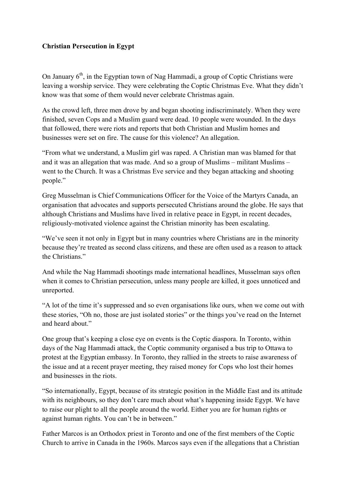## **Christian Persecution in Egypt**

On January  $6<sup>th</sup>$ , in the Egyptian town of Nag Hammadi, a group of Coptic Christians were leaving a worship service. They were celebrating the Coptic Christmas Eve. What they didn't know was that some of them would never celebrate Christmas again.

As the crowd left, three men drove by and began shooting indiscriminately. When they were finished, seven Cops and a Muslim guard were dead. 10 people were wounded. In the days that followed, there were riots and reports that both Christian and Muslim homes and businesses were set on fire. The cause for this violence? An allegation.

"From what we understand, a Muslim girl was raped. A Christian man was blamed for that and it was an allegation that was made. And so a group of Muslims – militant Muslims – went to the Church. It was a Christmas Eve service and they began attacking and shooting people."

Greg Musselman is Chief Communications Officer for the Voice of the Martyrs Canada, an organisation that advocates and supports persecuted Christians around the globe. He says that although Christians and Muslims have lived in relative peace in Egypt, in recent decades, religiously-motivated violence against the Christian minority has been escalating.

"We've seen it not only in Egypt but in many countries where Christians are in the minority because they're treated as second class citizens, and these are often used as a reason to attack the Christians."

And while the Nag Hammadi shootings made international headlines, Musselman says often when it comes to Christian persecution, unless many people are killed, it goes unnoticed and unreported.

"A lot of the time it's suppressed and so even organisations like ours, when we come out with these stories, "Oh no, those are just isolated stories" or the things you've read on the Internet and heard about."

One group that's keeping a close eye on events is the Coptic diaspora. In Toronto, within days of the Nag Hammadi attack, the Coptic community organised a bus trip to Ottawa to protest at the Egyptian embassy. In Toronto, they rallied in the streets to raise awareness of the issue and at a recent prayer meeting, they raised money for Cops who lost their homes and businesses in the riots.

"So internationally, Egypt, because of its strategic position in the Middle East and its attitude with its neighbours, so they don't care much about what's happening inside Egypt. We have to raise our plight to all the people around the world. Either you are for human rights or against human rights. You can't be in between."

Father Marcos is an Orthodox priest in Toronto and one of the first members of the Coptic Church to arrive in Canada in the 1960s. Marcos says even if the allegations that a Christian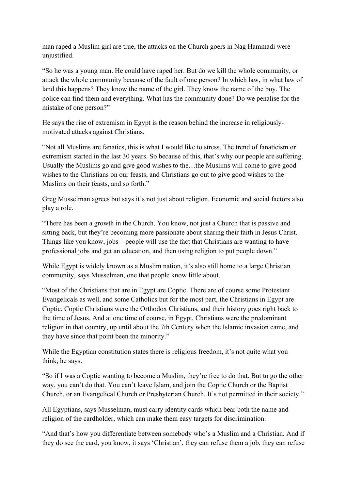man raped a Muslim girl are true, the attacks on the Church goers in Nag Hammadi were unjustified.

"So he was a young man. He could have raped her. But do we kill the whole community, or attack the whole community because of the fault of one person? In which law, in what law of land this happens? They know the name of the girl. They know the name of the boy. The police can find them and everything. What has the community done? Do we penalise for the mistake of one person?"

He says the rise of extremism in Egypt is the reason behind the increase in religiouslymotivated attacks against Christians.

"Not all Muslims are fanatics, this is what I would like to stress. The trend of fanaticism or extremism started in the last 30 years. So because of this, that's why our people are suffering. Usually the Muslims go and give good wishes to the…the Muslims will come to give good wishes to the Christians on our feasts, and Christians go out to give good wishes to the Muslims on their feasts, and so forth."

Greg Musselman agrees but says it's not just about religion. Economic and social factors also play a role.

"There has been a growth in the Church. You know, not just a Church that is passive and sitting back, but they're becoming more passionate about sharing their faith in Jesus Christ. Things like you know, jobs – people will use the fact that Christians are wanting to have professional jobs and get an education, and then using religion to put people down."

While Egypt is widely known as a Muslim nation, it's also still home to a large Christian community, says Musselman, one that people know little about.

"Most of the Christians that are in Egypt are Coptic. There are of course some Protestant Evangelicals as well, and some Catholics but for the most part, the Christians in Egypt are Coptic. Coptic Christians were the Orthodox Christians, and their history goes right back to the time of Jesus. And at one time of course, in Egypt, Christians were the predominant religion in that country, up until about the 7th Century when the Islamic invasion came, and they have since that point been the minority."

While the Egyptian constitution states there is religious freedom, it's not quite what you think, he says.

"So if I was a Coptic wanting to become a Muslim, they're free to do that. But to go the other way, you can't do that. You can't leave Islam, and join the Coptic Church or the Baptist Church, or an Evangelical Church or Presbyterian Church. It's not permitted in their society."

All Egyptians, says Musselman, must carry identity cards which bear both the name and religion of the cardholder, which can make them easy targets for discrimination.

"And that's how you differentiate between somebody who's a Muslim and a Christian. And if they do see the card, you know, it says 'Christian', they can refuse them a job, they can refuse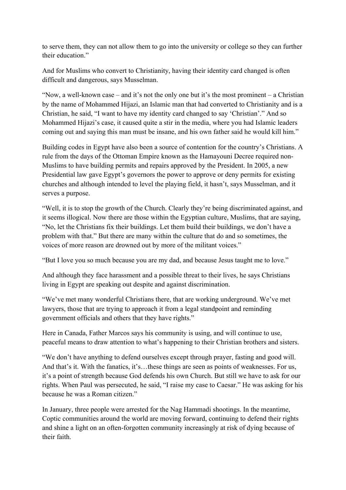to serve them, they can not allow them to go into the university or college so they can further their education."

And for Muslims who convert to Christianity, having their identity card changed is often difficult and dangerous, says Musselman.

"Now, a well-known case – and it's not the only one but it's the most prominent – a Christian by the name of Mohammed Hijazi, an Islamic man that had converted to Christianity and is a Christian, he said, "I want to have my identity card changed to say 'Christian'." And so Mohammed Hijazi's case, it caused quite a stir in the media, where you had Islamic leaders coming out and saying this man must be insane, and his own father said he would kill him."

Building codes in Egypt have also been a source of contention for the country's Christians. A rule from the days of the Ottoman Empire known as the Hamayouni Decree required non-Muslims to have building permits and repairs approved by the President. In 2005, a new Presidential law gave Egypt's governors the power to approve or deny permits for existing churches and although intended to level the playing field, it hasn't, says Musselman, and it serves a purpose.

"Well, it is to stop the growth of the Church. Clearly they're being discriminated against, and it seems illogical. Now there are those within the Egyptian culture, Muslims, that are saying, "No, let the Christians fix their buildings. Let them build their buildings, we don't have a problem with that." But there are many within the culture that do and so sometimes, the voices of more reason are drowned out by more of the militant voices."

"But I love you so much because you are my dad, and because Jesus taught me to love."

And although they face harassment and a possible threat to their lives, he says Christians living in Egypt are speaking out despite and against discrimination.

"We've met many wonderful Christians there, that are working underground. We've met lawyers, those that are trying to approach it from a legal standpoint and reminding government officials and others that they have rights."

Here in Canada, Father Marcos says his community is using, and will continue to use, peaceful means to draw attention to what's happening to their Christian brothers and sisters.

"We don't have anything to defend ourselves except through prayer, fasting and good will. And that's it. With the fanatics, it's...these things are seen as points of weaknesses. For us, it's a point of strength because God defends his own Church. But still we have to ask for our rights. When Paul was persecuted, he said, "I raise my case to Caesar." He was asking for his because he was a Roman citizen."

In January, three people were arrested for the Nag Hammadi shootings. In the meantime, Coptic communities around the world are moving forward, continuing to defend their rights and shine a light on an often-forgotten community increasingly at risk of dying because of their faith.